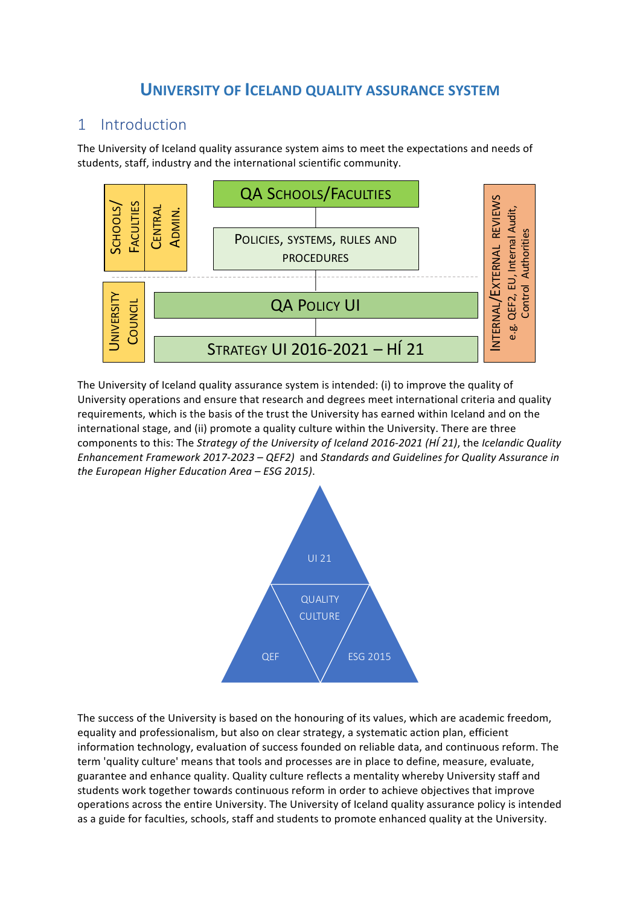## **UNIVERSITY OF ICELAND QUALITY ASSURANCE SYSTEM**

### 1 Introduction

The University of Iceland quality assurance system aims to meet the expectations and needs of students, staff, industry and the international scientific community.



The University of Iceland quality assurance system is intended: (i) to improve the quality of University operations and ensure that research and degrees meet international criteria and quality requirements, which is the basis of the trust the University has earned within Iceland and on the international stage, and (ii) promote a quality culture within the University. There are three components to this: The *Strategy of the University of Iceland 2016-2021 (HÍ 21)*, the *Icelandic Quality Enhancement Framework 2017-2023 – QEF2)* and *Standards and Guidelines for Quality Assurance in the European Higher Education Area* – *ESG 2015*).



The success of the University is based on the honouring of its values, which are academic freedom, equality and professionalism, but also on clear strategy, a systematic action plan, efficient information technology, evaluation of success founded on reliable data, and continuous reform. The term 'quality culture' means that tools and processes are in place to define, measure, evaluate, guarantee and enhance quality. Quality culture reflects a mentality whereby University staff and students work together towards continuous reform in order to achieve objectives that improve operations across the entire University. The University of Iceland quality assurance policy is intended as a guide for faculties, schools, staff and students to promote enhanced quality at the University.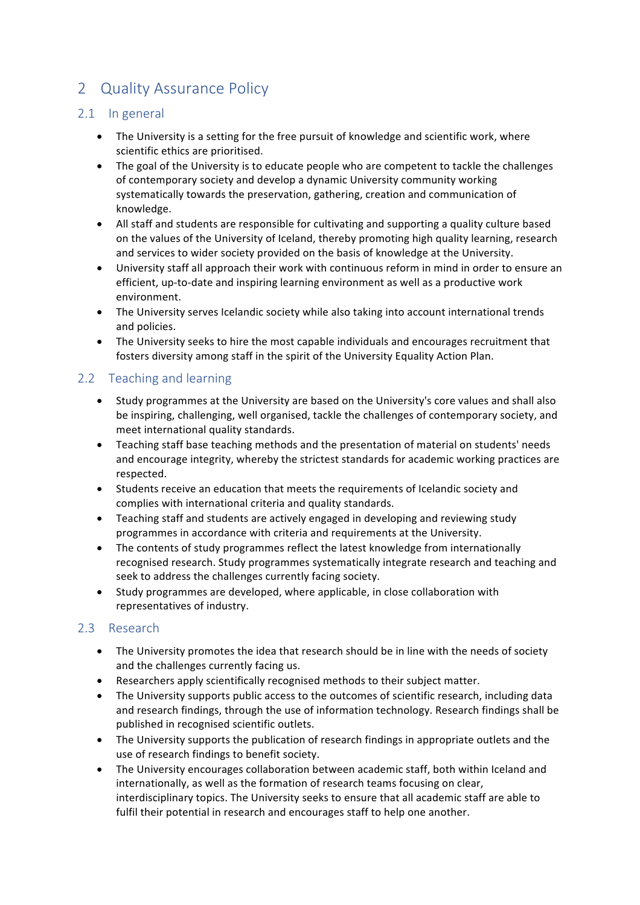# 2 Quality Assurance Policy

### 2.1 In general

- The University is a setting for the free pursuit of knowledge and scientific work, where scientific ethics are prioritised.
- The goal of the University is to educate people who are competent to tackle the challenges of contemporary society and develop a dynamic University community working systematically towards the preservation, gathering, creation and communication of knowledge.
- All staff and students are responsible for cultivating and supporting a quality culture based on the values of the University of Iceland, thereby promoting high quality learning, research and services to wider society provided on the basis of knowledge at the University.
- University staff all approach their work with continuous reform in mind in order to ensure an efficient, up-to-date and inspiring learning environment as well as a productive work environment.
- The University serves Icelandic society while also taking into account international trends and policies.
- The University seeks to hire the most capable individuals and encourages recruitment that fosters diversity among staff in the spirit of the University Equality Action Plan.

### 2.2 Teaching and learning

- Study programmes at the University are based on the University's core values and shall also be inspiring, challenging, well organised, tackle the challenges of contemporary society, and meet international quality standards.
- Teaching staff base teaching methods and the presentation of material on students' needs and encourage integrity, whereby the strictest standards for academic working practices are respected.
- Students receive an education that meets the requirements of Icelandic society and complies with international criteria and quality standards.
- Teaching staff and students are actively engaged in developing and reviewing study programmes in accordance with criteria and requirements at the University.
- The contents of study programmes reflect the latest knowledge from internationally recognised research. Study programmes systematically integrate research and teaching and seek to address the challenges currently facing society.
- Study programmes are developed, where applicable, in close collaboration with representatives of industry.

### 2.3 Research

- The University promotes the idea that research should be in line with the needs of society and the challenges currently facing us.
- Researchers apply scientifically recognised methods to their subject matter.
- The University supports public access to the outcomes of scientific research, including data and research findings, through the use of information technology. Research findings shall be published in recognised scientific outlets.
- The University supports the publication of research findings in appropriate outlets and the use of research findings to benefit society.
- The University encourages collaboration between academic staff, both within Iceland and internationally, as well as the formation of research teams focusing on clear, interdisciplinary topics. The University seeks to ensure that all academic staff are able to fulfil their potential in research and encourages staff to help one another.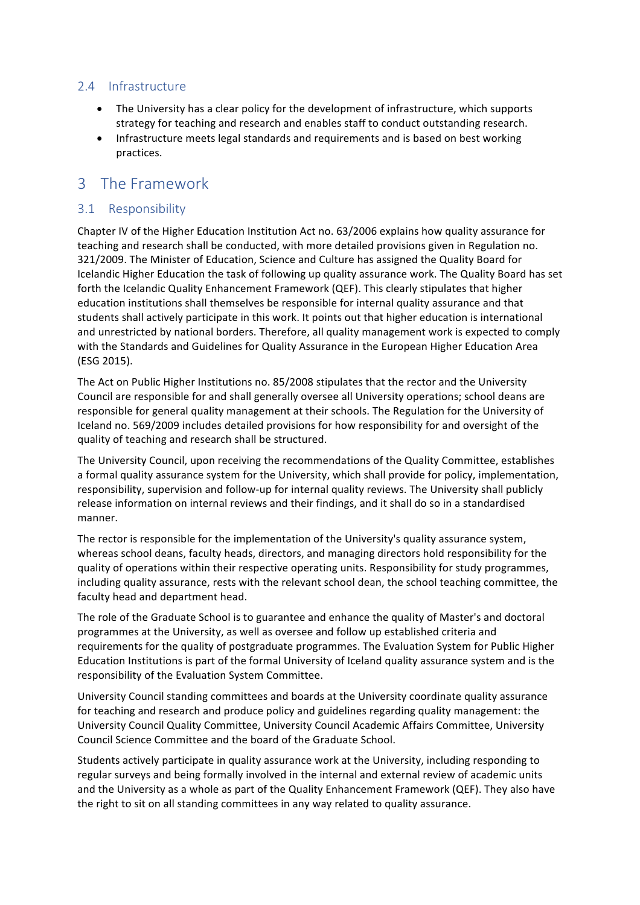#### 2.4 Infrastructure

- The University has a clear policy for the development of infrastructure, which supports strategy for teaching and research and enables staff to conduct outstanding research.
- Infrastructure meets legal standards and requirements and is based on best working practices.

### 3 The Framework

#### 3.1 Responsibility

Chapter IV of the Higher Education Institution Act no. 63/2006 explains how quality assurance for teaching and research shall be conducted, with more detailed provisions given in Regulation no. 321/2009. The Minister of Education, Science and Culture has assigned the Quality Board for Icelandic Higher Education the task of following up quality assurance work. The Quality Board has set forth the Icelandic Quality Enhancement Framework (QEF). This clearly stipulates that higher education institutions shall themselves be responsible for internal quality assurance and that students shall actively participate in this work. It points out that higher education is international and unrestricted by national borders. Therefore, all quality management work is expected to comply with the Standards and Guidelines for Quality Assurance in the European Higher Education Area (ESG 2015).

The Act on Public Higher Institutions no. 85/2008 stipulates that the rector and the University Council are responsible for and shall generally oversee all University operations; school deans are responsible for general quality management at their schools. The Regulation for the University of Iceland no. 569/2009 includes detailed provisions for how responsibility for and oversight of the quality of teaching and research shall be structured.

The University Council, upon receiving the recommendations of the Quality Committee, establishes a formal quality assurance system for the University, which shall provide for policy, implementation, responsibility, supervision and follow-up for internal quality reviews. The University shall publicly release information on internal reviews and their findings, and it shall do so in a standardised manner. 

The rector is responsible for the implementation of the University's quality assurance system, whereas school deans, faculty heads, directors, and managing directors hold responsibility for the quality of operations within their respective operating units. Responsibility for study programmes, including quality assurance, rests with the relevant school dean, the school teaching committee, the faculty head and department head.

The role of the Graduate School is to guarantee and enhance the quality of Master's and doctoral programmes at the University, as well as oversee and follow up established criteria and requirements for the quality of postgraduate programmes. The Evaluation System for Public Higher Education Institutions is part of the formal University of Iceland quality assurance system and is the responsibility of the Evaluation System Committee.

University Council standing committees and boards at the University coordinate quality assurance for teaching and research and produce policy and guidelines regarding quality management: the University Council Quality Committee, University Council Academic Affairs Committee, University Council Science Committee and the board of the Graduate School.

Students actively participate in quality assurance work at the University, including responding to regular surveys and being formally involved in the internal and external review of academic units and the University as a whole as part of the Quality Enhancement Framework (QEF). They also have the right to sit on all standing committees in any way related to quality assurance.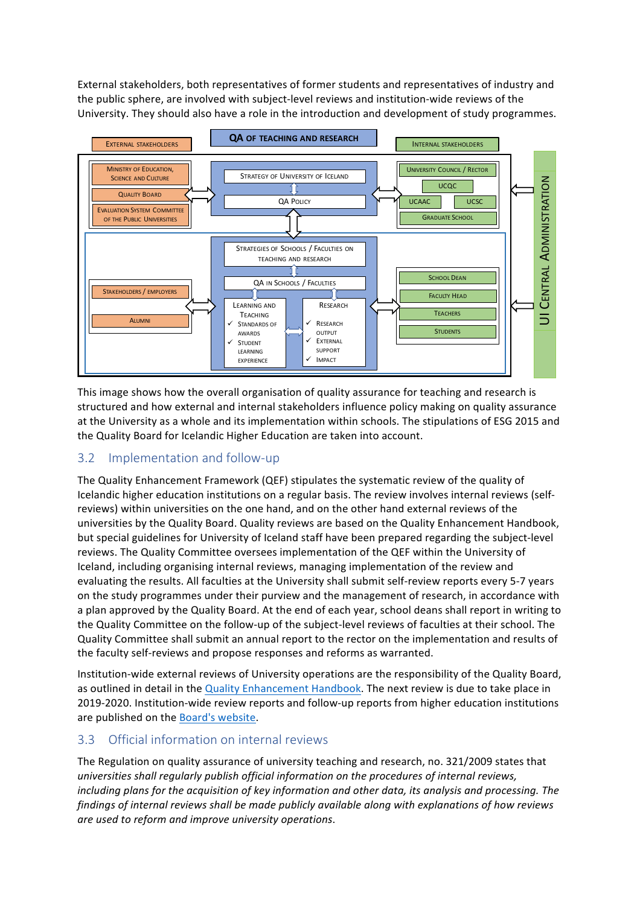External stakeholders, both representatives of former students and representatives of industry and the public sphere, are involved with subject-level reviews and institution-wide reviews of the University. They should also have a role in the introduction and development of study programmes.



This image shows how the overall organisation of quality assurance for teaching and research is structured and how external and internal stakeholders influence policy making on quality assurance at the University as a whole and its implementation within schools. The stipulations of ESG 2015 and the Quality Board for Icelandic Higher Education are taken into account.

### 3.2 Implementation and follow-up

The Quality Enhancement Framework (QEF) stipulates the systematic review of the quality of Icelandic higher education institutions on a regular basis. The review involves internal reviews (selfreviews) within universities on the one hand, and on the other hand external reviews of the universities by the Quality Board. Quality reviews are based on the Quality Enhancement Handbook, but special guidelines for University of Iceland staff have been prepared regarding the subject-level reviews. The Quality Committee oversees implementation of the QEF within the University of Iceland, including organising internal reviews, managing implementation of the review and evaluating the results. All faculties at the University shall submit self-review reports every 5-7 years on the study programmes under their purview and the management of research, in accordance with a plan approved by the Quality Board. At the end of each year, school deans shall report in writing to the Quality Committee on the follow-up of the subject-level reviews of faculties at their school. The Quality Committee shall submit an annual report to the rector on the implementation and results of the faculty self-reviews and propose responses and reforms as warranted.

Institution-wide external reviews of University operations are the responsibility of the Quality Board, as outlined in detail in the Quality Enhancement Handbook. The next review is due to take place in 2019-2020. Institution-wide review reports and follow-up reports from higher education institutions are published on the Board's website.

#### 3.3 Official information on internal reviews

The Regulation on quality assurance of university teaching and research, no. 321/2009 states that universities shall regularly publish official information on the procedures of internal reviews, *including plans for the acquisition of key information and other data, its analysis and processing. The findings of internal reviews shall be made publicly available along with explanations of how reviews are used to reform and improve university operations*.